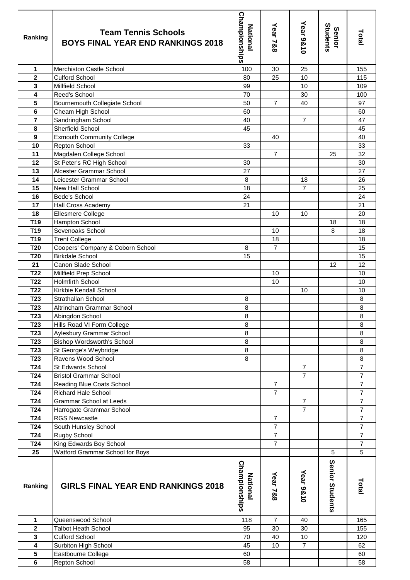| Ranking                            | <b>Team Tennis Schools</b><br><b>BOYS FINAL YEAR END RANKINGS 2018</b> | <b>Championships</b><br><b>National</b> | Year 7&8       | Year 9&10      | Students<br><b>Senior</b> | Total          |
|------------------------------------|------------------------------------------------------------------------|-----------------------------------------|----------------|----------------|---------------------------|----------------|
| $\mathbf{1}$                       | Merchiston Castle School                                               | 100                                     | 30             | 25             |                           | 155            |
| $\mathbf 2$                        | <b>Culford School</b>                                                  | 80                                      | 25             | 10             |                           | 115            |
| 3                                  | Millfield School                                                       | 99                                      |                | 10             |                           | 109            |
| 4                                  | Reed's School                                                          | 70                                      |                | 30             |                           | 100            |
| 5                                  | <b>Bournemouth Collegiate School</b>                                   | 50                                      | $\overline{7}$ | 40             |                           | 97             |
| $\bf 6$                            | Cheam High School                                                      | 60                                      |                |                |                           | 60             |
| $\overline{7}$                     | Sandringham School                                                     | 40                                      |                | $\overline{7}$ |                           | 47             |
| 8                                  | Sherfield School                                                       | 45                                      |                |                |                           | 45             |
| $\overline{9}$                     | <b>Exmouth Community College</b>                                       |                                         | 40             |                |                           | 40             |
| 10                                 | Repton School                                                          | 33                                      |                |                |                           | 33             |
| 11                                 | Magdalen College School                                                |                                         | $\overline{7}$ |                | 25                        | 32             |
| 12                                 | St Peter's RC High School                                              | 30                                      |                |                |                           | 30             |
| 13                                 | Alcester Grammar School                                                | 27                                      |                |                |                           | 27             |
| 14                                 | Leicester Grammar School                                               | 8                                       |                | 18             |                           | 26             |
| 15                                 | New Hall School                                                        | 18                                      |                | $\overline{7}$ |                           | 25             |
| 16                                 | Bede's School                                                          | 24                                      |                |                |                           | 24             |
| 17                                 | Hall Cross Academy                                                     | 21                                      |                |                |                           | 21             |
| 18                                 | Ellesmere College                                                      |                                         | 10             | 10             |                           | 20             |
| T <sub>19</sub>                    | Hampton School                                                         |                                         |                |                | 18                        | 18             |
| T <sub>19</sub>                    | Sevenoaks School                                                       |                                         | 10             |                | 8                         | 18             |
| T <sub>19</sub>                    | <b>Trent College</b>                                                   |                                         | 18             |                |                           | 18             |
| <b>T20</b>                         | Coopers' Company & Coborn School                                       | 8                                       | $\overline{7}$ |                |                           | 15             |
| <b>T20</b>                         | <b>Birkdale School</b>                                                 | 15                                      |                |                |                           | 15             |
| 21                                 | Canon Slade School                                                     |                                         |                |                | 12                        | 12             |
| T <sub>22</sub>                    | Millfield Prep School                                                  |                                         | 10             |                |                           | 10             |
| T <sub>22</sub>                    | <b>Holmfirth School</b>                                                |                                         | 10             |                |                           | 10             |
| T <sub>22</sub>                    | Kirkbie Kendall School                                                 |                                         |                | 10             |                           | 10             |
| T <sub>23</sub><br>T <sub>23</sub> | Strathallan School<br>Altrincham Grammar School                        | 8                                       |                |                |                           | 8              |
|                                    |                                                                        | 8                                       |                |                |                           | 8<br>8         |
| T23<br>T <sub>23</sub>             | Abingdon School                                                        | 8<br>8                                  |                |                |                           | 8              |
| T <sub>23</sub>                    | Hills Road VI Form College<br>Aylesbury Grammar School                 | 8                                       |                |                |                           | 8              |
| T <sub>23</sub>                    | Bishop Wordsworth's School                                             | 8                                       |                |                |                           | 8              |
| T <sub>23</sub>                    | St George's Weybridge                                                  | 8                                       |                |                |                           | 8              |
| T <sub>23</sub>                    | Ravens Wood School                                                     | 8                                       |                |                |                           | 8              |
| T <sub>24</sub>                    | St Edwards School                                                      |                                         |                | $\overline{7}$ |                           | $\overline{7}$ |
| T <sub>24</sub>                    | <b>Bristol Grammar School</b>                                          |                                         |                | $\overline{7}$ |                           | $\overline{7}$ |
| T24                                | Reading Blue Coats School                                              |                                         | $\overline{7}$ |                |                           | $\overline{7}$ |
| T24                                | Richard Hale School                                                    |                                         | $\overline{7}$ |                |                           | $\overline{7}$ |
| T24                                | <b>Grammar School at Leeds</b>                                         |                                         |                | $\overline{7}$ |                           | $\overline{7}$ |
| T24                                | Harrogate Grammar School                                               |                                         |                | $\overline{7}$ |                           | $\overline{7}$ |
| T24                                | <b>RGS Newcastle</b>                                                   |                                         | $\overline{7}$ |                |                           | $\overline{7}$ |
| T <sub>24</sub>                    | South Hunsley School                                                   |                                         | $\overline{7}$ |                |                           | $\overline{7}$ |
| T24                                | Rugby School                                                           |                                         | $\overline{7}$ |                |                           | $\overline{7}$ |
| T <sub>24</sub>                    | King Edwards Boy School                                                |                                         | $\overline{7}$ |                |                           | $\overline{7}$ |
| 25                                 | Watford Grammar School for Boys                                        |                                         |                |                | 5                         | 5              |
| Ranking                            | <b>GIRLS FINAL YEAR END RANKINGS 2018</b>                              | <b>Championships</b><br><b>National</b> | Year 7&8       | Year 9&10      | Senior Students           | <b>Total</b>   |
| 1                                  | Queenswood School                                                      | 118                                     | $\overline{7}$ | 40             |                           | 165            |
| $\overline{\mathbf{2}}$            | <b>Talbot Heath School</b>                                             | 95                                      | 30             | 30             |                           | 155            |
| 3                                  | <b>Culford School</b>                                                  | 70                                      | 40             | 10             |                           | 120            |
| $\overline{\mathbf{4}}$            | Surbiton High School                                                   | 45                                      | 10             | $\overline{7}$ |                           | 62             |
| $\overline{\mathbf{5}}$            | Eastbourne College                                                     | 60                                      |                |                |                           | 60             |
| $\bf 6$                            | Repton School                                                          | 58                                      |                |                |                           | 58             |
|                                    |                                                                        |                                         |                |                |                           |                |